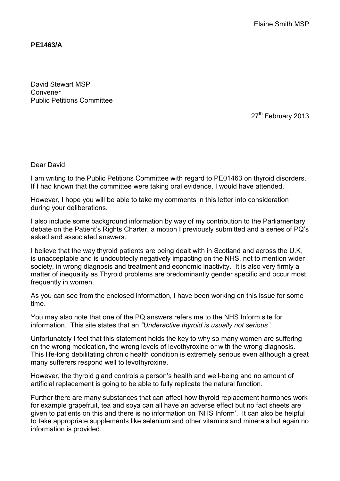**PE1463/A** 

David Stewart MSP Convener Public Petitions Committee

27<sup>th</sup> February 2013

Dear David

I am writing to the Public Petitions Committee with regard to PE01463 on thyroid disorders. If I had known that the committee were taking oral evidence, I would have attended.

However, I hope you will be able to take my comments in this letter into consideration during your deliberations.

I also include some background information by way of my contribution to the Parliamentary debate on the Patient's Rights Charter, a motion I previously submitted and a series of PQ's asked and associated answers.

I believe that the way thyroid patients are being dealt with in Scotland and across the U.K, is unacceptable and is undoubtedly negatively impacting on the NHS, not to mention wider society, in wrong diagnosis and treatment and economic inactivity. It is also very firmly a matter of inequality as Thyroid problems are predominantly gender specific and occur most frequently in women.

As you can see from the enclosed information, I have been working on this issue for some time.

You may also note that one of the PQ answers refers me to the NHS Inform site for information. This site states that an *"Underactive thyroid is usually not serious"*.

Unfortunately I feel that this statement holds the key to why so many women are suffering on the wrong medication, the wrong levels of levothyroxine or with the wrong diagnosis. This life-long debilitating chronic health condition is extremely serious even although a great many sufferers respond well to levothyroxine.

However, the thyroid gland controls a person's health and well-being and no amount of artificial replacement is going to be able to fully replicate the natural function.

Further there are many substances that can affect how thyroid replacement hormones work for example grapefruit, tea and soya can all have an adverse effect but no fact sheets are given to patients on this and there is no information on 'NHS Inform'. It can also be helpful to take appropriate supplements like selenium and other vitamins and minerals but again no information is provided.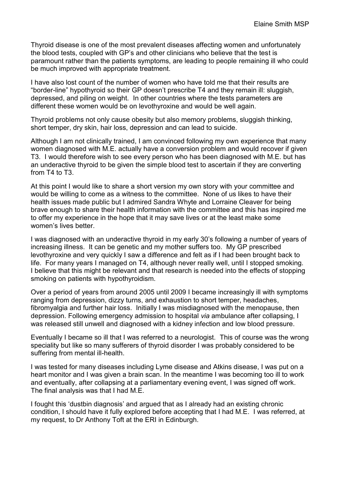Thyroid disease is one of the most prevalent diseases affecting women and unfortunately the blood tests, coupled with GP's and other clinicians who believe that the test is paramount rather than the patients symptoms, are leading to people remaining ill who could be much improved with appropriate treatment.

I have also lost count of the number of women who have told me that their results are "border-line" hypothyroid so their GP doesn't prescribe T4 and they remain ill: sluggish, depressed, and piling on weight. In other countries where the tests parameters are different these women would be on levothyroxine and would be well again.

Thyroid problems not only cause obesity but also memory problems, sluggish thinking, short temper, dry skin, hair loss, depression and can lead to suicide.

Although I am not clinically trained, I am convinced following my own experience that many women diagnosed with M.E. actually have a conversion problem and would recover if given T3. I would therefore wish to see every person who has been diagnosed with M.E. but has an underactive thyroid to be given the simple blood test to ascertain if they are converting from T4 to T3.

At this point I would like to share a short version my own story with your committee and would be willing to come as a witness to the committee. None of us likes to have their health issues made public but I admired Sandra Whyte and Lorraine Cleaver for being brave enough to share their health information with the committee and this has inspired me to offer my experience in the hope that it may save lives or at the least make some women's lives better.

I was diagnosed with an underactive thyroid in my early 30's following a number of years of increasing illness. It can be genetic and my mother suffers too. My GP prescribed levothyroxine and very quickly I saw a difference and felt as if I had been brought back to life. For many years I managed on T4, although never really well, until I stopped smoking. I believe that this might be relevant and that research is needed into the effects of stopping smoking on patients with hypothyroidism.

Over a period of years from around 2005 until 2009 I became increasingly ill with symptoms ranging from depression, dizzy turns, and exhaustion to short temper, headaches, fibromyalgia and further hair loss. Initially I was misdiagnosed with the menopause, then depression. Following emergency admission to hospital *via* ambulance after collapsing, I was released still unwell and diagnosed with a kidney infection and low blood pressure.

Eventually I became so ill that I was referred to a neurologist. This of course was the wrong speciality but like so many sufferers of thyroid disorder I was probably considered to be suffering from mental ill-health.

I was tested for many diseases including Lyme disease and Atkins disease, I was put on a heart monitor and I was given a brain scan. In the meantime I was becoming too ill to work and eventually, after collapsing at a parliamentary evening event, I was signed off work. The final analysis was that I had M.E.

I fought this 'dustbin diagnosis' and argued that as I already had an existing chronic condition, I should have it fully explored before accepting that I had M.E. I was referred, at my request, to Dr Anthony Toft at the ERI in Edinburgh.